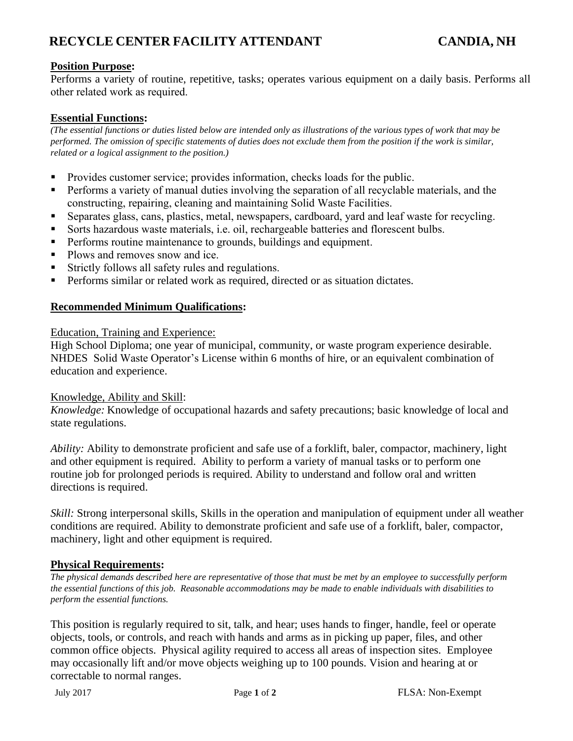# **RECYCLE CENTER FACILITY ATTENDANT CANDIA, NH**

## **Position Purpose:**

Performs a variety of routine, repetitive, tasks; operates various equipment on a daily basis. Performs all other related work as required.

## **Essential Functions:**

*(The essential functions or duties listed below are intended only as illustrations of the various types of work that may be performed. The omission of specific statements of duties does not exclude them from the position if the work is similar, related or a logical assignment to the position.)*

- Provides customer service; provides information, checks loads for the public.
- **•** Performs a variety of manual duties involving the separation of all recyclable materials, and the constructing, repairing, cleaning and maintaining Solid Waste Facilities.
- **EXECUTE:** Separates glass, cans, plastics, metal, newspapers, cardboard, yard and leaf waste for recycling.
- Sorts hazardous waste materials, i.e. oil, rechargeable batteries and florescent bulbs.
- **•** Performs routine maintenance to grounds, buildings and equipment.
- Plows and removes snow and ice.
- Strictly follows all safety rules and regulations.
- Performs similar or related work as required, directed or as situation dictates.

#### **Recommended Minimum Qualifications:**

#### Education, Training and Experience:

High School Diploma; one year of municipal, community, or waste program experience desirable. NHDES Solid Waste Operator's License within 6 months of hire, or an equivalent combination of education and experience.

#### Knowledge, Ability and Skill:

*Knowledge:* Knowledge of occupational hazards and safety precautions; basic knowledge of local and state regulations.

*Ability:* Ability to demonstrate proficient and safe use of a forklift, baler, compactor, machinery, light and other equipment is required. Ability to perform a variety of manual tasks or to perform one routine job for prolonged periods is required. Ability to understand and follow oral and written directions is required.

*Skill:* Strong interpersonal skills, Skills in the operation and manipulation of equipment under all weather conditions are required. Ability to demonstrate proficient and safe use of a forklift, baler, compactor, machinery, light and other equipment is required.

#### **Physical Requirements:**

*The physical demands described here are representative of those that must be met by an employee to successfully perform the essential functions of this job. Reasonable accommodations may be made to enable individuals with disabilities to perform the essential functions.*

This position is regularly required to sit, talk, and hear; uses hands to finger, handle, feel or operate objects, tools, or controls, and reach with hands and arms as in picking up paper, files, and other common office objects. Physical agility required to access all areas of inspection sites. Employee may occasionally lift and/or move objects weighing up to 100 pounds. Vision and hearing at or correctable to normal ranges.